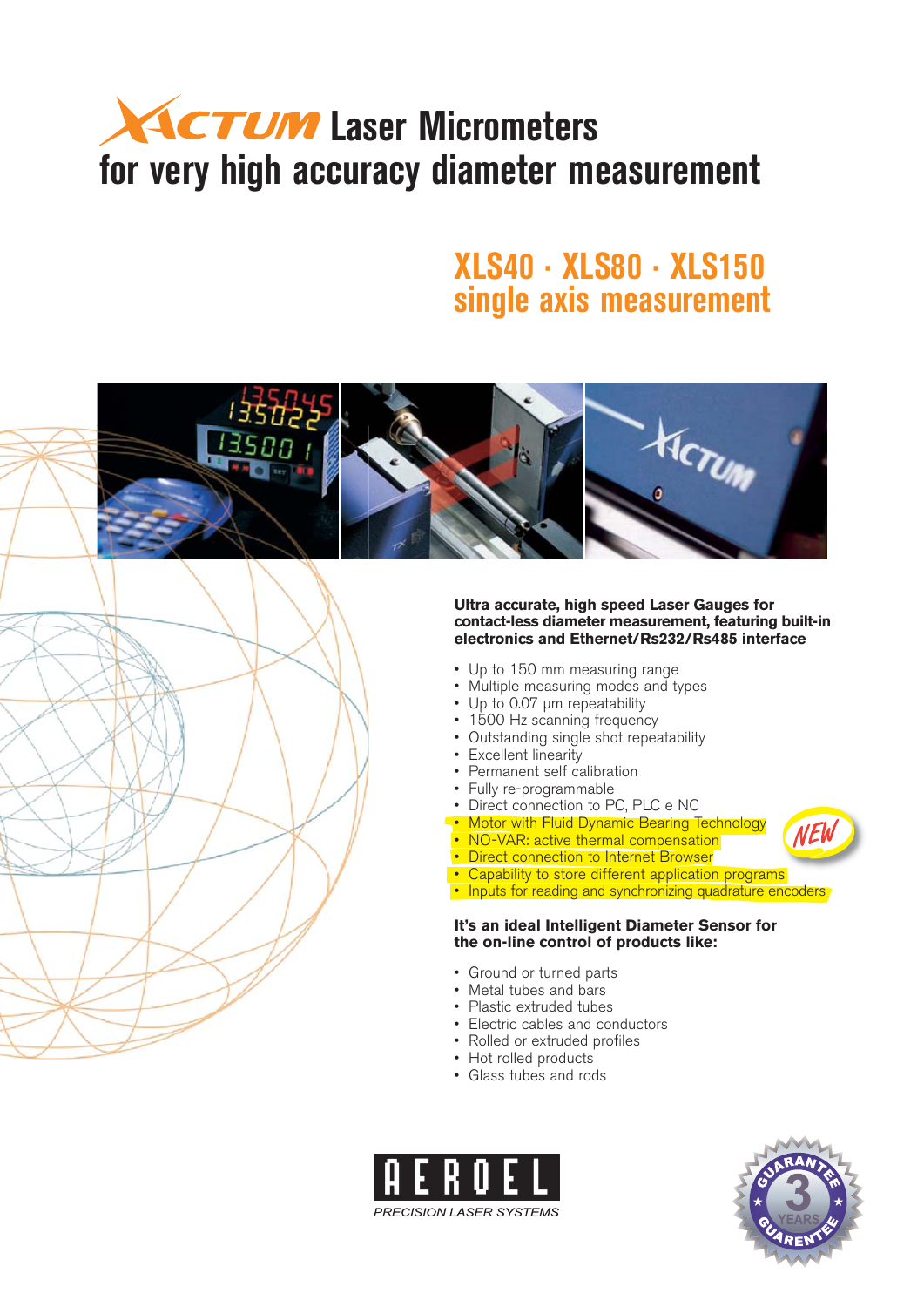# **ACTUM** Laser Micrometers **for very high accuracy diameter measurement**

### **XLS40 · XLS80 · XLS150 single axis measurement**



**PRECISION LASER SYSTEMS** 

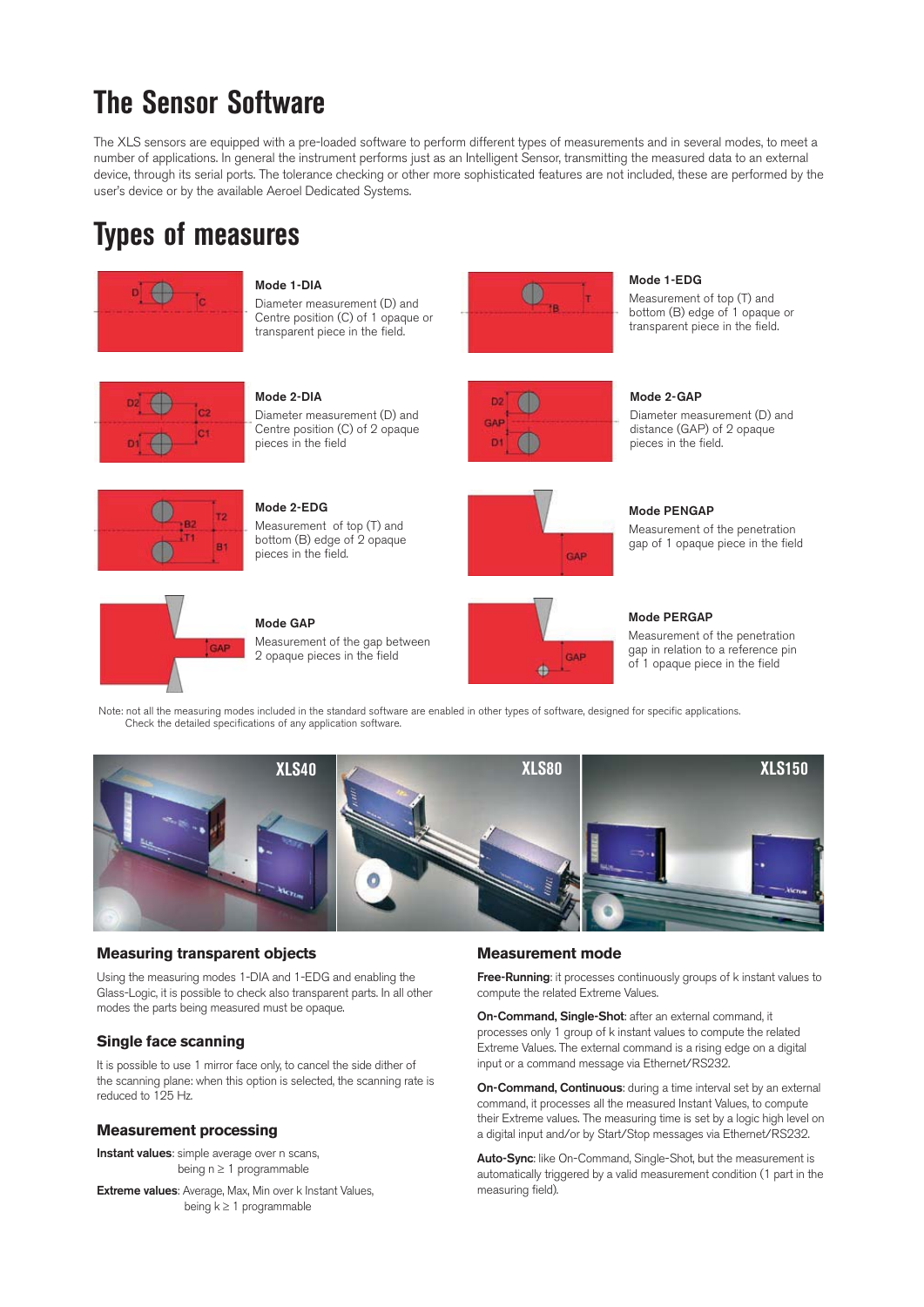## **The Sensor Software**

The XLS sensors are equipped with a pre-loaded software to perform different types of measurements and in several modes, to meet a number of applications. In general the instrument performs just as an Intelligent Sensor, transmitting the measured data to an external device, through its serial ports. The tolerance checking or other more sophisticated features are not included, these are performed by the user's device or by the available Aeroel Dedicated Systems.

### **Types of measures**



**Mode 1-DIA** 

Diameter measurement (D) and Centre position (C) of 1 opaque or transparent piece in the field.



#### **Mode 1-EDG**

Measurement of top (T) and bottom (B) edge of 1 opaque or transparent piece in the field.



**Mode 2-DIA**

Diameter measurement (D) and Centre position (C) of 2 opaque pieces in the field

**Mode 2-EDG**  Measurement of top (T) and bottom (B) edge of 2 opaque



 $\bullet$ 

GAP

D<sup>1</sup>

**Mode 2-GAP**

Diameter measurement (D) and distance (GAP) of 2 opaque pieces in the field.

Measurement of the penetration gap of 1 opaque piece in the field



pieces in the field.

**Mode GAP**



GAP

Measurement of the gap between 2 opaque pieces in the field o

#### **Mode PERGAP**

**Mode PENGAP**

Measurement of the penetration gap in relation to a reference pin of 1 opaque piece in the field

Note: not all the measuring modes included in the standard software are enabled in other types of software, designed for specific applications. Check the detailed specifications of any application software.



### **Measuring transparent objects**

Using the measuring modes 1-DIA and 1-EDG and enabling the Glass-Logic, it is possible to check also transparent parts. In all other modes the parts being measured must be opaque.

### **Single face scanning**

It is possible to use 1 mirror face only, to cancel the side dither of the scanning plane: when this option is selected, the scanning rate is reduced to 125 Hz.

### **Measurement processing**

**Instant values**: simple average over n scans, being  $n \geq 1$  programmable

**Extreme values**: Average, Max, Min over k Instant Values, being  $k \geq 1$  programmable

### **Measurement mode**

**Free-Running**: it processes continuously groups of k instant values to compute the related Extreme Values.

**On-Command, Single-Shot**: after an external command, it processes only 1 group of k instant values to compute the related Extreme Values. The external command is a rising edge on a digital input or a command message via Ethernet/RS232.

**On-Command, Continuous**: during a time interval set by an external command, it processes all the measured Instant Values, to compute their Extreme values. The measuring time is set by a logic high level on a digital input and/or by Start/Stop messages via Ethernet/RS232.

**Auto-Sync**: like On-Command, Single-Shot, but the measurement is automatically triggered by a valid measurement condition (1 part in the measuring field).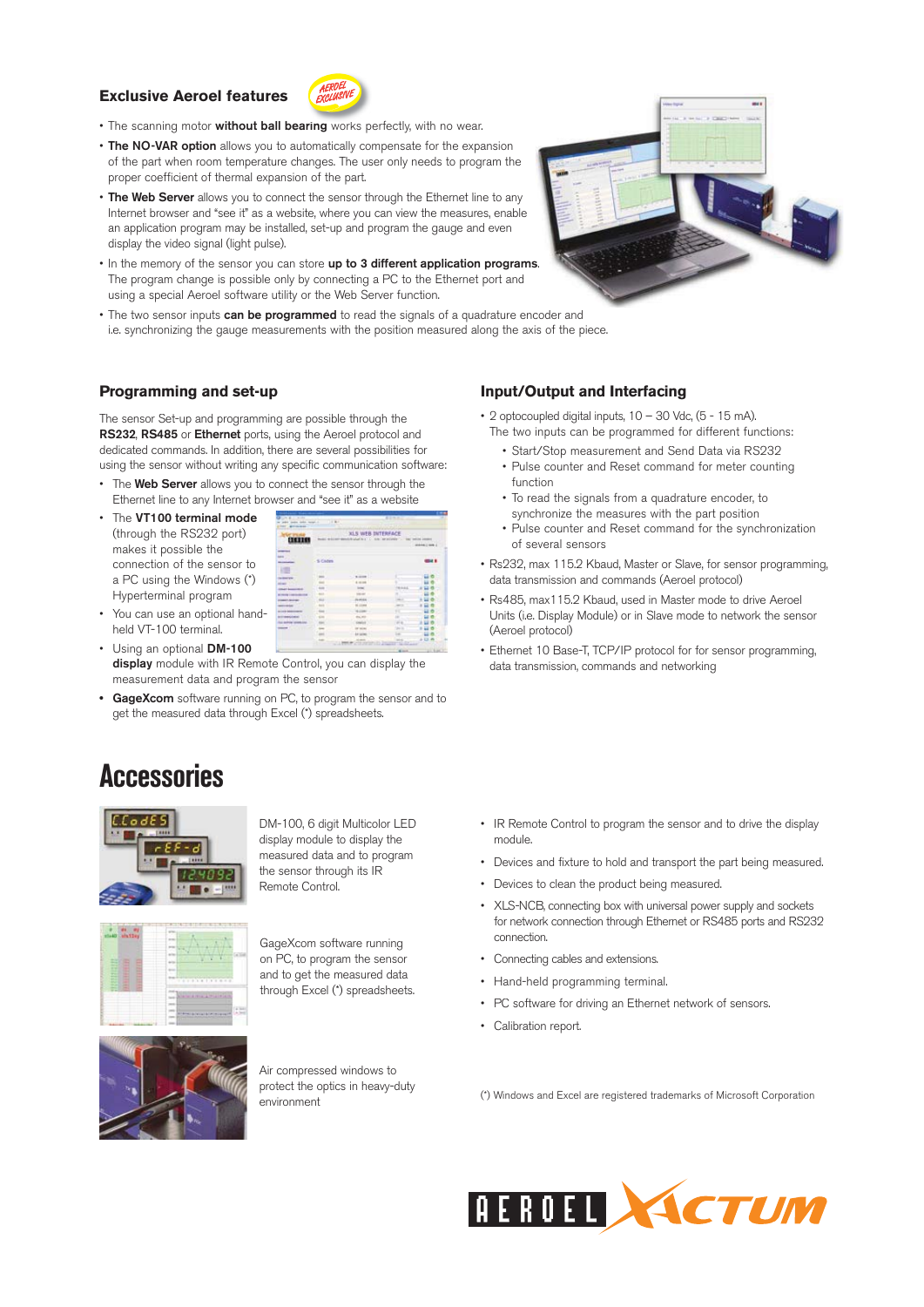### **Exclusive Aeroel features**



- The scanning motor **without ball bearing** works perfectly, with no wear.
- **The NO-VAR option** allows you to automatically compensate for the expansion of the part when room temperature changes. The user only needs to program the proper coefficient of thermal expansion of the part.
- **The Web Server** allows you to connect the sensor through the Ethernet line to any Internet browser and "see it" as a website, where you can view the measures, enable an application program may be installed, set-up and program the gauge and even display the video signal (light pulse).
- In the memory of the sensor you can store **up to 3 different application programs**. The program change is possible only by connecting a PC to the Ethernet port and using a special Aeroel software utility or the Web Server function.
- The two sensor inputs **can be programmed** to read the signals of a quadrature encoder and i.e. synchronizing the gauge measurements with the position measured along the axis of the piece.

#### **Programming and set-up**

The sensor Set-up and programming are possible through the **RS232**, **RS485** or **Ethernet** ports, using the Aeroel protocol and dedicated commands. In addition, there are several possibilities for using the sensor without writing any specific communication software:

- The **Web Server** allows you to connect the sensor through the Ethernet line to any Internet browser and "see it" as a website
- The **VT100 terminal mode** (through the RS232 port) makes it possible the connection of the sensor to a PC using the Windows (\*) Hyperterminal program

|                                     | XLS WEB INTERFACE<br>characters in the articles of<br>they teamed payment<br><b>Building Highly and Care</b> |                   |      |            |  |  |  |  |
|-------------------------------------|--------------------------------------------------------------------------------------------------------------|-------------------|------|------------|--|--|--|--|
|                                     |                                                                                                              |                   |      |            |  |  |  |  |
| <b>CHINES</b>                       |                                                                                                              |                   |      | atentine i |  |  |  |  |
| <b>STATIS</b><br>-                  |                                                                                                              |                   |      |            |  |  |  |  |
| and                                 | <b>Comma</b>                                                                                                 |                   |      |            |  |  |  |  |
|                                     |                                                                                                              |                   |      |            |  |  |  |  |
| s                                   |                                                                                                              |                   |      |            |  |  |  |  |
| <b>A Branche</b>                    |                                                                                                              | <b>WARREN</b>     |      |            |  |  |  |  |
| $\sim$                              |                                                                                                              | 4.4.44            |      |            |  |  |  |  |
| <b><i>CALLAGE ALCOHOL: MAIN</i></b> |                                                                                                              |                   | 1.11 |            |  |  |  |  |
| <b>Made Contractor</b>              | 663                                                                                                          | m<br><b>START</b> | v    |            |  |  |  |  |
| <b>DESCRIPTION</b>                  | 63.6                                                                                                         | <b>AMES</b>       | ni c |            |  |  |  |  |
|                                     | ũ,                                                                                                           |                   | $-$  |            |  |  |  |  |
|                                     |                                                                                                              |                   | н    |            |  |  |  |  |
| <b>ALCOHOL: NO</b>                  | m                                                                                                            |                   |      |            |  |  |  |  |
| <b>Greenwicher</b>                  |                                                                                                              | 64, 69            |      |            |  |  |  |  |
| LL GAMES LOANS                      |                                                                                                              | <b>Side</b>       | B    |            |  |  |  |  |

- You can use an optional handheld VT-100 terminal.
- Using an optional **DM-100 display** module with IR Remote Control, you can display the measurement data and program the sensor
- **GageXcom** software running on PC, to program the sensor and to get the measured data through Excel (\*) spreadsheets. **•**

### **Accessories**



DM-100, 6 digit Multicolor LED display module to display the measured data and to program the sensor through its IR Remote Control.



GageXcom software running on PC, to program the sensor and to get the measured data through Excel (\*) spreadsheets.



Air compressed windows to protect the optics in heavy-duty environment

### **Input/Output and Interfacing**

- 2 optocoupled digital inputs,  $10 30$  Vdc,  $(5 15$  mA). The two inputs can be programmed for different functions:
	- Start/Stop measurement and Send Data via RS232
	- Pulse counter and Reset command for meter counting function
	- To read the signals from a quadrature encoder, to synchronize the measures with the part position
	- Pulse counter and Reset command for the synchronization of several sensors
- Rs232, max 115.2 Kbaud, Master or Slave, for sensor programming, data transmission and commands (Aeroel protocol)
- Rs485, max115.2 Kbaud, used in Master mode to drive Aeroel Units (i.e. Display Module) or in Slave mode to network the sensor (Aeroel protocol)
- Ethernet 10 Base-T, TCP/IP protocol for for sensor programming, data transmission, commands and networking

- IR Remote Control to program the sensor and to drive the display module.
- Devices and fixture to hold and transport the part being measured. •
- Devices to clean the product being measured. •
- XLS-NCB, connecting box with universal power supply and sockets for network connection through Ethernet or RS485 ports and RS232 connection.
- Connecting cables and extensions. •
- Hand-held programming terminal.
- PC software for driving an Ethernet network of sensors.
- Calibration report.

(\*) Windows and Excel are registered trademarks of Microsoft Corporation